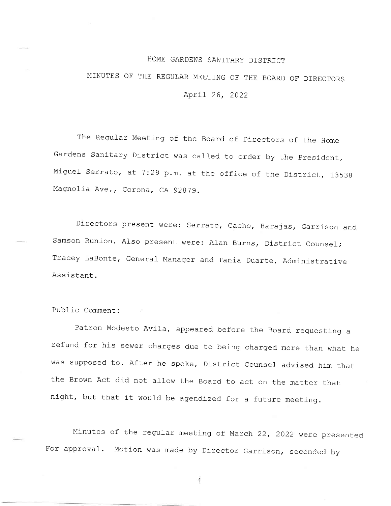## HOME GARDENS SANTTARY DTSTRICT

## MINUTES OF THE REGULAR MEETING OF THE BOARD OF DIRECTORS April 26, <sup>2022</sup>

The Regular Meeting of the Board of Directors of the Home Gardens Sanitary District was called to order by the President Miguel Serrato, at 7:29 p.m. at the office of the District, 13538 Magnolia Ave., Corona, CA 92879.

Directors present were: serrato, cacho, Barajas, Garrison and Samson Runion. Also present were: Alan Burns, District Counsel; Tracey LaBonte, General Manager and Tania Duarte, Administrative Assistant.

Public Comment:

Patron Modesto Avila, appeared before the Board requesting a refund for his sewer charges due to being charged more than what he was supposed to. After he spoke, District Counsel advised him that the Brown Act did not allow the Board to act on the matter that night, but that it would be agendized for a future meeting.

Minutes of the regular meeting of March 22, 2022 were presented For approval. Motion was made by Director Garrison, seconded by

 $\mathbf{1}$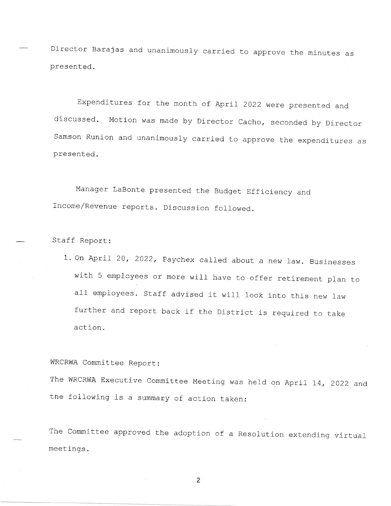Director Barajas and unanimously carried to approve the minutes as presented.

Expenditures for the month of April 2022 were presented and discussed. Motion was made by Director Cacho, seconded by Director samson Runion and unanimously carried to approve the expenditures as presented.

Manager LaBonte presented the Budget Efficiency and Income/Revenue reports. Discussion followed.

Staff Report:

1. On April 20, 2022, Paychex called about a new law. Businesses with 5 employees or more will have to offer retirement plan to all employees. Staff advised it will look into this new law further and report back if the District is required to take action.

WRCRWA Committee Report:

The WRCRWA Executive committee Meeting was held on April 14, 2022 and tne following is a summary of action taken:

The committee approved the adoption of a Resolution extending virtual meetings.

 $\overline{2}$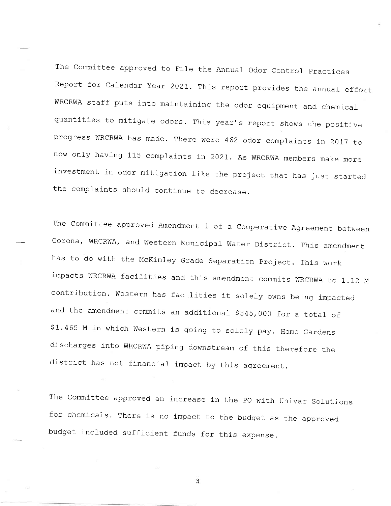The Committee approved to File the Annual Odor Control Practices Report for Calendar Year 2021. This report provides the annual effort WRCRWA staff puts into maintaining the odor equipment and chemical quantities to mitigate odors. This year's report shows the positive progress WRCRWA has made. There were 462 odor complaints in 2017 to now only having 115 complaints in 2021. As WRCRWA members make more investment in odor mitigation like the project that has just started the complaints should continue to decrease.

The committee approved Amendment 1 of a cooperative Agreement between Corona, WRCRWA, and Western Municipal Water District. This amendment has to do with the McKinley Grade separation project. This work impacts WRCRWA facilities and this amendment commits WRCRWA to 1.12 M contribution. Western has facilities it solely owns being impacted and the amendment commits an additional  $$345,000$  for a total of \$1.465 M in which Western is going to solely pay. Home Gardens discharges into WRCRWA piping downstream of this therefore the district has not financial impact by this agreement.

The Committee approved an increase in the PO with Univar Solutions for chemicals. There is no impact to the budget as the approved budget included sufficient funds for this expense.

3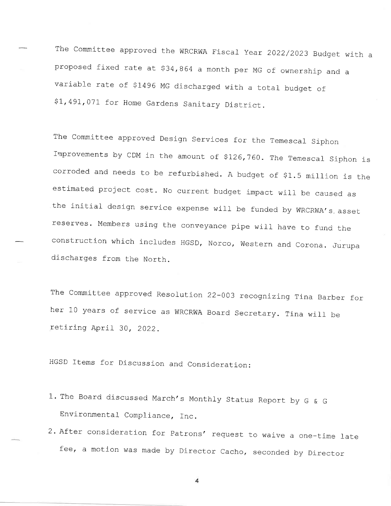The Committee approved the WRCRWA Fiscal Year 2022/2023 Budget with a proposed fixed rate at \$34,864 a month per MG of ownership and a variable rate of \$1496 MG discharged with a total budget of \$1,491,071 for Home Gardens Sanitary District.

The committee approved Design Services for the Temescal Siphon Improvements by CDM in the amount of \$126,760. The Temescal Siphon is corroded and needs to be refurbished. A budget of \$1.5 million is the estimated project cost. No current budget impact will be caused as the initial design service expense will be funded by WRCRWA's asset reserves. Members using the conveyance pipe will have to fund the construction which includes HGSD, Norco, western and corona. Jurupa discharges from the North.

The Committee approved Resolution 22-003 recognizing Tina Barber for her 10 years of service as WRCRWA Board secretary. Tina will be retiring April 30, 2022.

HGSD Items for Discussion and Consideration:

- 1. The Board discussed March's Monthly Status Report by G & G Environmental Compliance, fnc.
- 2. After consideration for Patrons' request to waive a one-time late fee, a motion was made by Director Cacho, seconded by Director

 $\overline{4}$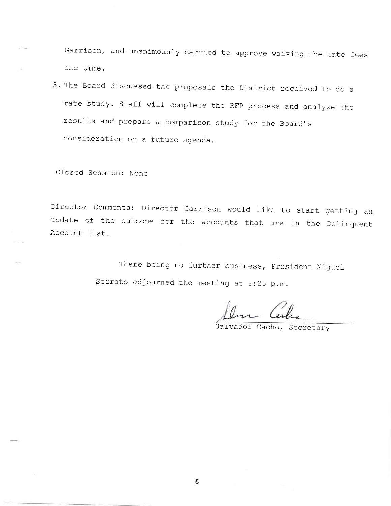Garrison, and unanimously carried to approve waiving the late fees one time.

3. The Board discussed the proposals the District received to do <sup>a</sup> rate study. Staff will complete the RFP process and analyze the results and prepare a comparison study for the Board's consideration on a future agenda.

Closed Session: None

Director comments: Director Garrison would like to start getting an update of the outcome for the accounts that are in the Delinquent Account List.

> There being no further business, president Miguel Serrato adjourned the meeting at 8:25 p.m.

Salvador Cacho, Secretary

5